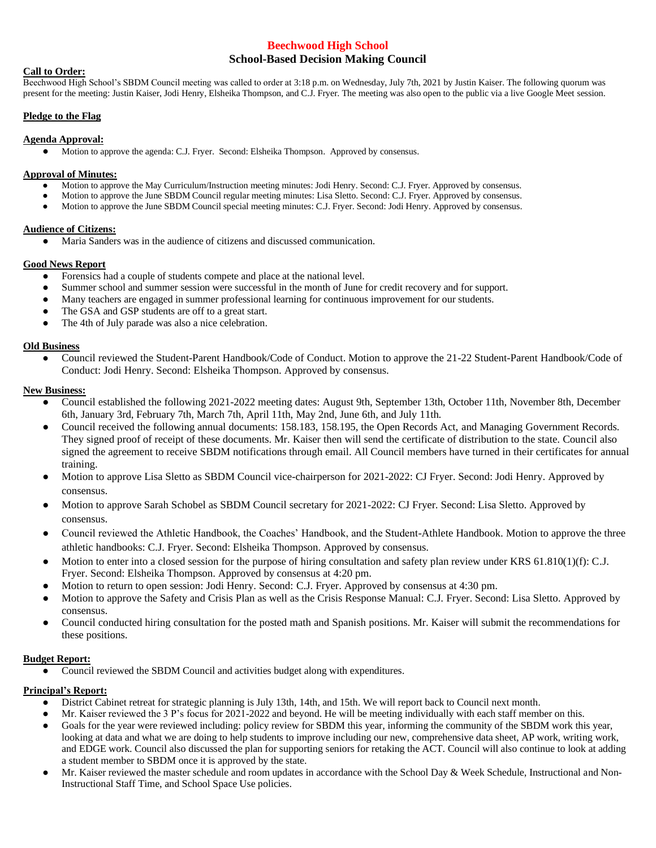# **Beechwood High School School-Based Decision Making Council**

## **Call to Order:**

Beechwood High School's SBDM Council meeting was called to order at 3:18 p.m. on Wednesday, July 7th, 2021 by Justin Kaiser. The following quorum was present for the meeting: Justin Kaiser, Jodi Henry, Elsheika Thompson, and C.J. Fryer. The meeting was also open to the public via a live Google Meet session.

## **Pledge to the Flag**

#### **Agenda Approval:**

● Motion to approve the agenda: C.J. Fryer. Second: Elsheika Thompson. Approved by consensus.

#### **Approval of Minutes:**

- Motion to approve the May Curriculum/Instruction meeting minutes: Jodi Henry. Second: C.J. Fryer. Approved by consensus.
- Motion to approve the June SBDM Council regular meeting minutes: Lisa Sletto. Second: C.J. Fryer. Approved by consensus.
- Motion to approve the June SBDM Council special meeting minutes: C.J. Fryer. Second: Jodi Henry. Approved by consensus.

## **Audience of Citizens:**

● Maria Sanders was in the audience of citizens and discussed communication.

## **Good News Report**

- Forensics had a couple of students compete and place at the national level.
- Summer school and summer session were successful in the month of June for credit recovery and for support.
- Many teachers are engaged in summer professional learning for continuous improvement for our students.
- The GSA and GSP students are off to a great start.
- The 4th of July parade was also a nice celebration.

# **Old Business**

Council reviewed the Student-Parent Handbook/Code of Conduct. Motion to approve the 21-22 Student-Parent Handbook/Code of Conduct: Jodi Henry. Second: Elsheika Thompson. Approved by consensus.

#### **New Business:**

- Council established the following 2021-2022 meeting dates: August 9th, September 13th, October 11th, November 8th, December 6th, January 3rd, February 7th, March 7th, April 11th, May 2nd, June 6th, and July 11th.
- Council received the following annual documents: 158.183, 158.195, the Open Records Act, and Managing Government Records. They signed proof of receipt of these documents. Mr. Kaiser then will send the certificate of distribution to the state. Council also signed the agreement to receive SBDM notifications through email. All Council members have turned in their certificates for annual training.
- Motion to approve Lisa Sletto as SBDM Council vice-chairperson for 2021-2022: CJ Fryer. Second: Jodi Henry. Approved by consensus.
- Motion to approve Sarah Schobel as SBDM Council secretary for 2021-2022: CJ Fryer. Second: Lisa Sletto. Approved by consensus.
- Council reviewed the Athletic Handbook, the Coaches' Handbook, and the Student-Athlete Handbook. Motion to approve the three athletic handbooks: C.J. Fryer. Second: Elsheika Thompson. Approved by consensus.
- Motion to enter into a closed session for the purpose of hiring consultation and safety plan review under KRS  $61.810(1)(f)$ : C.J. Fryer. Second: Elsheika Thompson. Approved by consensus at 4:20 pm.
- Motion to return to open session: Jodi Henry. Second: C.J. Fryer. Approved by consensus at 4:30 pm.
- Motion to approve the Safety and Crisis Plan as well as the Crisis Response Manual: C.J. Fryer. Second: Lisa Sletto. Approved by consensus.
- Council conducted hiring consultation for the posted math and Spanish positions. Mr. Kaiser will submit the recommendations for these positions.

# **Budget Report:**

● Council reviewed the SBDM Council and activities budget along with expenditures.

# **Principal's Report:**

- District Cabinet retreat for strategic planning is July 13th, 14th, and 15th. We will report back to Council next month.
- Mr. Kaiser reviewed the 3 P's focus for 2021-2022 and beyond. He will be meeting individually with each staff member on this.
- Goals for the year were reviewed including: policy review for SBDM this year, informing the community of the SBDM work this year, looking at data and what we are doing to help students to improve including our new, comprehensive data sheet, AP work, writing work, and EDGE work. Council also discussed the plan for supporting seniors for retaking the ACT. Council will also continue to look at adding a student member to SBDM once it is approved by the state.
- Mr. Kaiser reviewed the master schedule and room updates in accordance with the School Day & Week Schedule, Instructional and Non-Instructional Staff Time, and School Space Use policies.